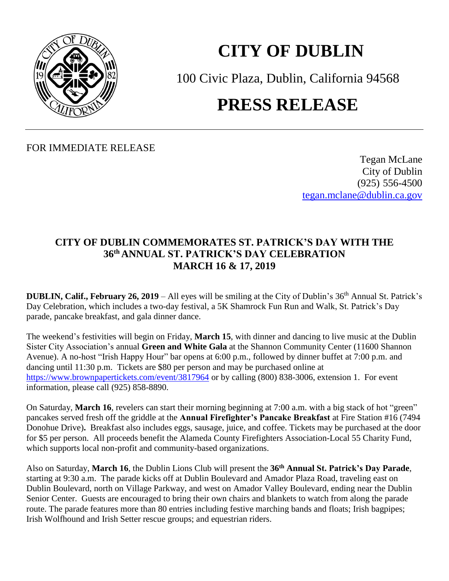

## **CITY OF DUBLIN**

100 Civic Plaza, Dublin, California 94568 **PRESS RELEASE**

FOR IMMEDIATE RELEASE

Tegan McLane City of Dublin (925) 556-4500 [tegan.mclane@dublin.ca.gov](mailto:tegan.mclane@dublin.ca.gov)

## **CITY OF DUBLIN COMMEMORATES ST. PATRICK'S DAY WITH THE 36 th ANNUAL ST. PATRICK'S DAY CELEBRATION MARCH 16 & 17, 2019**

**DUBLIN, Calif., February 26, 2019** – All eyes will be smiling at the City of Dublin's 36<sup>th</sup> Annual St. Patrick's Day Celebration, which includes a two-day festival, a 5K Shamrock Fun Run and Walk, St. Patrick's Day parade, pancake breakfast, and gala dinner dance.

The weekend's festivities will begin on Friday, **March 15**, with dinner and dancing to live music at the Dublin Sister City Association's annual **Green and White Gala** at the Shannon Community Center (11600 Shannon Avenue). A no-host "Irish Happy Hour" bar opens at 6:00 p.m., followed by dinner buffet at 7:00 p.m. and dancing until 11:30 p.m. Tickets are \$80 per person and may be purchased online at <https://www.brownpapertickets.com/event/3817964> or by calling (800) 838-3006, extension 1. For event information, please call (925) 858-8890.

On Saturday, **March 16**, revelers can start their morning beginning at 7:00 a.m. with a big stack of hot "green" pancakes served fresh off the griddle at the **Annual Firefighter's Pancake Breakfast** at Fire Station #16 (7494 Donohue Drive)**.** Breakfast also includes eggs, sausage, juice, and coffee. Tickets may be purchased at the door for \$5 per person. All proceeds benefit the Alameda County Firefighters Association-Local 55 Charity Fund, which supports local non-profit and community-based organizations.

Also on Saturday, **March 16**, the Dublin Lions Club will present the **36 th Annual St. Patrick's Day Parade**, starting at 9:30 a.m. The parade kicks off at Dublin Boulevard and Amador Plaza Road, traveling east on Dublin Boulevard, north on Village Parkway, and west on Amador Valley Boulevard, ending near the Dublin Senior Center. Guests are encouraged to bring their own chairs and blankets to watch from along the parade route. The parade features more than 80 entries including festive marching bands and floats; Irish bagpipes; Irish Wolfhound and Irish Setter rescue groups; and equestrian riders.